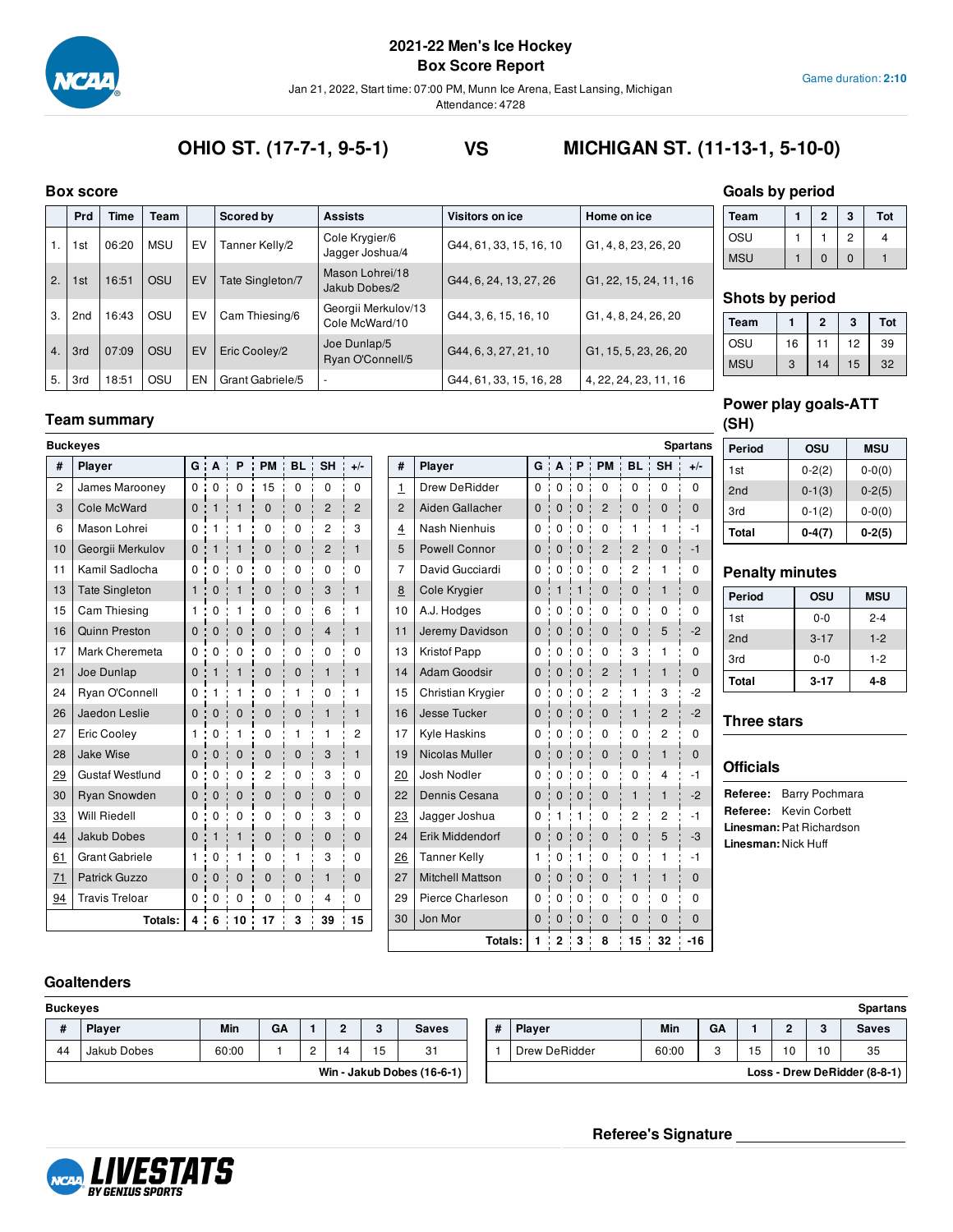

Jan 21, 2022, Start time: 07:00 PM, Munn Ice Arena, East Lansing, Michigan

Attendance: 4728

**OHIO ST. (17-7-1, 9-5-1) VS MICHIGAN ST. (11-13-1, 5-10-0)**

#### **Box score**

|                  | DOX SCOIP       |       |            |    |                  |                                       |                         |                        |
|------------------|-----------------|-------|------------|----|------------------|---------------------------------------|-------------------------|------------------------|
|                  | Prd             | Time  | Team       |    | Scored by        | <b>Assists</b>                        | Visitors on ice         | Home on ice            |
|                  | 1st             | 06:20 | <b>MSU</b> | EV | Tanner Kelly/2   | Cole Krygier/6<br>Jagger Joshua/4     | G44, 61, 33, 15, 16, 10 | G1, 4, 8, 23, 26, 20   |
| 2.               | 1st             | 16:51 | <b>OSU</b> | EV | Tate Singleton/7 | Mason Lohrei/18<br>Jakub Dobes/2      | G44, 6, 24, 13, 27, 26  | G1, 22, 15, 24, 11, 16 |
| 3.               | 2 <sub>nd</sub> | 16:43 | OSU        | EV | Cam Thiesing/6   | Georgii Merkulov/13<br>Cole McWard/10 | G44, 3, 6, 15, 16, 10   | G1, 4, 8, 24, 26, 20   |
| $\overline{4}$ . | 3rd             | 07:09 | <b>OSU</b> | EV | Eric Cooley/2    | Joe Dunlap/5<br>Ryan O'Connell/5      | G44, 6, 3, 27, 21, 10   | G1, 15, 5, 23, 26, 20  |
| 5.               | 3rd             | 18:51 | OSU        | EN | Grant Gabriele/5 | $\overline{\phantom{a}}$              | G44, 61, 33, 15, 16, 28 | 4, 22, 24, 23, 11, 16  |

## **Team summary**

| <b>Buckeyes</b>              |              |                |              |              |                  |                |                |                |                         |                    |              |                 |                |                |                | <b>Spartans</b> |
|------------------------------|--------------|----------------|--------------|--------------|------------------|----------------|----------------|----------------|-------------------------|--------------------|--------------|-----------------|----------------|----------------|----------------|-----------------|
| #<br>Player                  |              | $G \cdot A$    | $P$ :        |              | PM : BL : SH     |                | $+/-$          | #              | Player                  |                    |              |                 | G A P PM       | <b>BL</b>      | <b>SH</b>      | $+/-$           |
| $\sqrt{2}$<br>James Marooney |              | $0 \quad 0$    | $\mathbf{0}$ | 115          | ÷<br>$\mathbf 0$ | $\mathbf 0$    | 0              | $\mathbf{1}$   | <b>Drew DeRidder</b>    |                    | 0:0:0        |                 | $\mathbf 0$    | $\mathbf 0$    | $\mathbf 0$    | $\mathbf 0$     |
| Cole McWard<br>3             |              | 0:1            | $\mathbf{1}$ | $\mathbf 0$  | $\mathbf{0}$     | $\overline{2}$ | $\overline{2}$ | $\overline{2}$ | Aiden Gallacher         | 0:                 | 0:0          | J.              | $\overline{2}$ | $\mathbf 0$    | $\mathbf{0}$   | $\mathbf 0$     |
| 6<br>Mason Lohrei            | 0:           | $\mathbf{1}$   | 1            | $\Omega$     | $\Omega$         | $\overline{c}$ | 3              | $\overline{4}$ | Nash Nienhuis           | $\Omega$           | $\mathbf 0$  | $\frac{1}{2}$ 0 | 0              | 1              | $\mathbf{1}$   | $-1$            |
| Georgii Merkulov<br>10       | $\mathbf{0}$ | $\mathbf{1}$   | $\mathbf{1}$ | $\mathbf 0$  | $\mathbf{0}$     | $\overline{2}$ | $\mathbf{1}$   | 5              | <b>Powell Connor</b>    | $\mathbf{0}$<br>J. | $\mathbf{0}$ | $\cdot$ 0       | $\overline{2}$ | $\overline{2}$ | $\mathbf 0$    | $-1$            |
| Kamil Sadlocha<br>11         | 0:           | $\mathbf{0}$   | $\Omega$     | 0            | 0                | 0              | 0              | $\overline{7}$ | David Gucciardi         | 0                  | $\mathbf 0$  | $\frac{1}{2}$ 0 | 0              | $\overline{c}$ | 1              | $\mathbf 0$     |
| <b>Tate Singleton</b><br>13  |              | 1:0            | $\mathbf{1}$ | $\mathbf{0}$ | $\mathbf{0}$     | 3              | $\mathbf{1}$   | 8              | Cole Krygier            | $\mathbf{0}$<br>÷  | 1:1          |                 | $\mathbf{0}$   | $\mathbf{0}$   | $\mathbf{1}$   | $\mathbf{0}$    |
| 15<br>Cam Thiesing           | 1:           | $\overline{0}$ | 1            | 0            | 0                | 6              | 1              | 10             | A.J. Hodges             | 0                  | 0:0          |                 | 0              | 0              | 0              | $\Omega$        |
| Quinn Preston<br>16          | 0:           | $\overline{0}$ | $\mathbf{0}$ | $\mathbf{0}$ | $\mathbf{0}$     | $\overline{4}$ | $\mathbf{1}$   | 11             | Jeremy Davidson         | 0:                 | 0:0          |                 | $\mathbf{0}$   | $\mathbf 0$    | 5              | $-2$            |
| 17<br>Mark Cheremeta         | 0:           | $\overline{0}$ | 0            | $\Omega$     | 0                | 0              | 0              | 13             | <b>Kristof Papp</b>     | 0                  | 0:0          |                 | 0              | 3              | 1              | $\Omega$        |
| 21<br>Joe Dunlap             |              | 0:1            | $\mathbf{1}$ | $\mathbf{0}$ | $\mathbf{0}$     | $\mathbf{1}$   | $\mathbf{1}$   | 14             | <b>Adam Goodsir</b>     | $\mathbf{0}$<br>÷  | 0:0          |                 | $\overline{2}$ | $\mathbf{1}$   | $\mathbf{1}$   | $\mathbf 0$     |
| Ryan O'Connell<br>24         | 0:           | 1              | 1            | $\Omega$     | 1                | 0              | 1              | 15             | Christian Krygier       | 0:                 | 0:0          |                 | 2              | 1              | 3              | $-2$            |
| Jaedon Leslie<br>26          | 0:           | $\mathbf{0}$   | $\mathbf{0}$ | $\mathbf{0}$ | $\mathbf{0}$     | $\mathbf{1}$   | $\mathbf{1}$   | 16             | Jesse Tucker            | 0:                 | 0:0          |                 | $\mathbf{0}$   | $\mathbf{1}$   | $\overline{2}$ | $-2$            |
| Eric Cooley<br>27            | 1:           | $\mathbf{0}$   | 1            | 0            | 1                |                | 2              | 17             | Kyle Haskins            | 0                  | 0:0          |                 | 0              | 0              | $\overline{c}$ | $\mathbf 0$     |
| <b>Jake Wise</b><br>28       | $\mathbf{0}$ | $\mathbf{0}$   | 0            | $\mathbf 0$  | $\mathbf 0$      | 3              | $\mathbf{1}$   | 19             | Nicolas Muller          | $\mathbf{0}$<br>÷  | 0:0          |                 | $\mathbf{0}$   | $\mathbf{0}$   | $\mathbf{1}$   | $\mathbf 0$     |
| <b>Gustaf Westlund</b><br>29 | 0:           | $\mathbf 0$    | 0            | 2            | 0                | 3              | 0              | 20             | Josh Nodler             | $\Omega$           | 0:0          |                 | 0              | $\mathbf 0$    | 4              | $-1$            |
| 30<br><b>Ryan Snowden</b>    | $\mathbf{0}$ | $\mathbf{0}$   | 0            | $\mathbf 0$  | 0                | $\mathbf 0$    | $\mathbf{0}$   | 22             | Dennis Cesana           | 0:                 | $\mathbf 0$  | $\frac{1}{2}$ 0 | $\mathbf{0}$   | $\mathbf{1}$   | $\mathbf{1}$   | $-2$            |
| <b>Will Riedell</b><br>33    | 0:           | $\mathbf 0$    | $\Omega$     | 0            | $\mathbf 0$      | 3              | $\Omega$       | 23             | Jagger Joshua           | $\Omega$           | $\mathbf{1}$ | ÷<br>1          | 0              | $\overline{c}$ | $\overline{c}$ | $-1$            |
| 44<br><b>Jakub Dobes</b>     | $\mathbf{0}$ | $\mathbf{1}$   | 1            | $\mathbf{0}$ | 0                | $\mathbf 0$    | $\mathbf{0}$   | 24             | Erik Middendorf         | 0:                 | $\mathbf{0}$ | $\frac{1}{2}$ 0 | $\mathbf{0}$   | $\mathbf{0}$   | 5              | -3              |
| <b>Grant Gabriele</b><br>61  | 1:           | $\mathbf 0$    | 1            | 0            | 1                | 3              | 0              | 26             | <b>Tanner Kelly</b>     | 1:                 | 0            | ÷<br>1          | 0              | 0              | 1              | -1              |
| <b>Patrick Guzzo</b><br>71   | 0:           | $\overline{0}$ | $\mathbf 0$  | $\mathbf{0}$ | 0                | $\mathbf{1}$   | $\mathbf{0}$   | 27             | <b>Mitchell Mattson</b> | 0:                 | $\mathbf{0}$ | $\frac{1}{1}$ 0 | $\mathbf{0}$   | $\mathbf{1}$   | $\mathbf{1}$   | $\mathbf{0}$    |
| 94<br><b>Travis Treloar</b>  |              | 0:0            | 0            | 0            | 0                | 4              | $\Omega$       | 29             | Pierce Charleson        | $^{\circ}$         | $\mathbf 0$  | $\frac{1}{2}$ 0 | 0              | $\mathbf 0$    | $\mathbf 0$    | $\Omega$        |
| Totals:                      |              |                | 4:6:10:17    |              | 3                | 39             | 15             | 30             | Jon Mor                 | $\Omega$           | $\mathbf 0$  | $\frac{1}{2}$ 0 | $\mathbf 0$    | $\mathbf 0$    | $\mathbf 0$    | $\mathbf{0}$    |
|                              |              |                |              |              |                  |                |                |                | Totals:                 | 1 <sup>1</sup>     | 2:3          |                 | 8              | 15             | 32             | $-16$           |

## **Goals by period**

| <b>Team</b> | 2 | 3 | Tot |
|-------------|---|---|-----|
| OSU         |   | 2 |     |
| <b>MSU</b>  | 0 | O |     |

### **Shots by period**

| <b>Team</b> |    | $\mathbf{2}$ | 3  | Tot |
|-------------|----|--------------|----|-----|
| OSU         | 16 |              | 12 | 39  |
| <b>MSU</b>  | 3  | 14           | 15 | 32  |

## **Power play goals-ATT (SH)**

| Period          | osu        | <b>MSU</b> |
|-----------------|------------|------------|
| 1st             | $0 - 2(2)$ | $0 - 0(0)$ |
| 2 <sub>nd</sub> | $0-1(3)$   | $0 - 2(5)$ |
| 3rd             | $0-1(2)$   | $0 - 0(0)$ |
| Total           | $0-4(7)$   | $0-2(5)$   |

## **Penalty minutes**

| Period          | OSU      | <b>MSU</b> |  |  |  |  |  |  |  |  |  |
|-----------------|----------|------------|--|--|--|--|--|--|--|--|--|
| 1st             | $0 - 0$  | $2 - 4$    |  |  |  |  |  |  |  |  |  |
| 2 <sub>nd</sub> | $3 - 17$ | $1 - 2$    |  |  |  |  |  |  |  |  |  |
| 3rd             | $0 - 0$  | $1-2$      |  |  |  |  |  |  |  |  |  |
| Total           | $3 - 17$ | $4 - 8$    |  |  |  |  |  |  |  |  |  |

#### **Three stars**

## **Officials**

**e:** Barry Pochmara **Revin Corbett** an: Pat Richardson **an:** Nick Huff

#### **Goaltenders**

| <b>Buckeyes</b> |                            |            |    |  |         |          |              |  |               | <b>Spartans</b> |         |  |     |                              |
|-----------------|----------------------------|------------|----|--|---------|----------|--------------|--|---------------|-----------------|---------|--|-----|------------------------------|
|                 | <b>Plaver</b>              | <b>Min</b> | GA |  | <u></u> | <b>C</b> | <b>Saves</b> |  | <b>Player</b> | Min             | GA      |  |     | Saves                        |
| 44              | Jakub Dobes                | 60:00      |    |  |         |          | 31           |  | Drew DeRidder | 60:00           | c<br>ι. |  | 1 N | 35                           |
|                 | Win - Jakub Dobes (16-6-1) |            |    |  |         |          |              |  |               |                 |         |  |     | Loss - Drew DeRidder (8-8-1) |

|   |                              |       |           |    |    |    | <b>Spartans</b> |  |  |  |  |  |
|---|------------------------------|-------|-----------|----|----|----|-----------------|--|--|--|--|--|
| # | <b>Player</b>                | Min   | <b>GA</b> |    | ≏  | 3  | <b>Saves</b>    |  |  |  |  |  |
|   | Drew DeRidder                | 60:00 | ≏         | 15 | 10 | 10 | 35              |  |  |  |  |  |
|   | Loss - Drew DeRidder (8-8-1) |       |           |    |    |    |                 |  |  |  |  |  |

### **Referee's Signature**

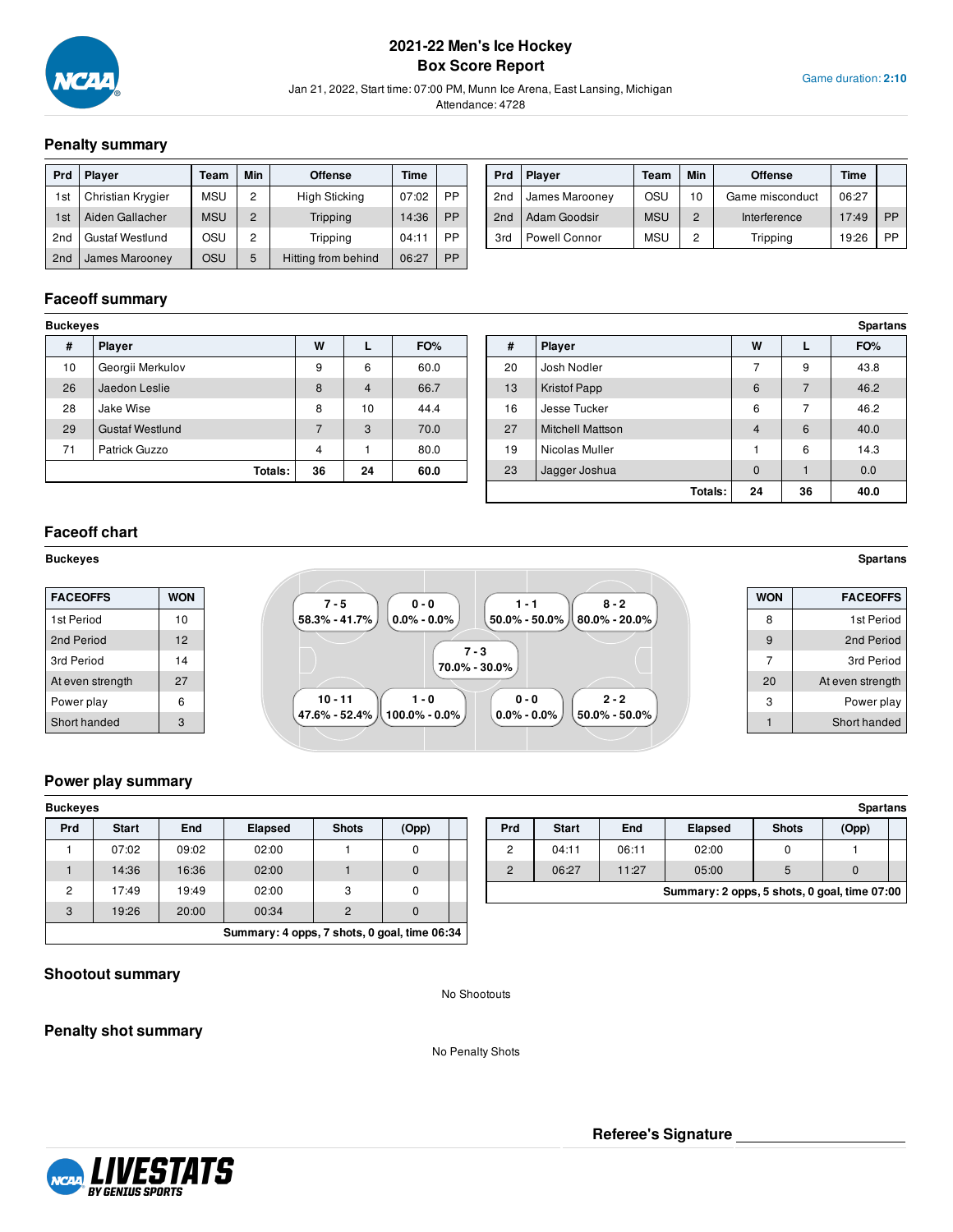

## **2021-22 Men's Ice Hockey Box Score Report**

Jan 21, 2022, Start time: 07:00 PM, Munn Ice Arena, East Lansing, Michigan

Attendance: 4728

## **Penalty summary**

| <b>Prd</b>      | <b>Player</b>          | Team       | Min            | <b>Offense</b>       | Time  |           |
|-----------------|------------------------|------------|----------------|----------------------|-------|-----------|
| 1st             | Christian Krygier      | <b>MSU</b> | 2              | <b>High Sticking</b> | 07:02 | PP        |
| 1st             | Aiden Gallacher        | <b>MSU</b> | $\overline{2}$ | Tripping             | 14:36 | <b>PP</b> |
| 2nd             | <b>Gustaf Westlund</b> | OSU        | 2              | Tripping             | 04:11 | PP        |
| 2 <sub>nd</sub> | James Marooney         | osu        | 5              | Hitting from behind  | 06:27 | PP        |

| Prd             | <b>Player</b>  | Team       | Min            | <b>Offense</b>  | Time  |    |
|-----------------|----------------|------------|----------------|-----------------|-------|----|
| 2 <sub>nd</sub> | James Marooney | OSU        | 10             | Game misconduct | 06:27 |    |
| 2 <sub>nd</sub> | Adam Goodsir   | <b>MSU</b> | $\overline{2}$ | Interference    | 17:49 | PP |
| 3rd             | Powell Connor  | <b>MSU</b> | 2              | Tripping        | 19:26 | PP |

## **Faceoff summary**

| <b>Buckeyes</b>        |                |                |      |
|------------------------|----------------|----------------|------|
| Player                 | W              |                | FO%  |
| Georgii Merkulov       | 9              | 6              | 60.0 |
| Jaedon Leslie          | 8              | $\overline{4}$ | 66.7 |
| Jake Wise              | 8              | 10             | 44.4 |
| <b>Gustaf Westlund</b> | $\overline{7}$ | 3              | 70.0 |
| Patrick Guzzo          | $\overline{4}$ |                | 80.0 |
| Totals:                | 36             | 24             | 60.0 |
|                        |                |                |      |

| Buckeyes |                        |                |                |      |    |                         |             |    | <b>Spartans</b> |
|----------|------------------------|----------------|----------------|------|----|-------------------------|-------------|----|-----------------|
| #        | Player                 | W              | ┗              | FO%  | #  | Player                  | W           | ┗  | FO%             |
| 10       | Georgii Merkulov       | 9              | 6              | 60.0 | 20 | Josh Nodler             | -           | 9  | 43.8            |
| 26       | Jaedon Leslie          | 8              | $\overline{4}$ | 66.7 | 13 | Kristof Papp            | 6           |    | 46.2            |
| 28       | Jake Wise              | 8              | 10             | 44.4 | 16 | Jesse Tucker            | 6           |    | 46.2            |
| 29       | <b>Gustaf Westlund</b> | $\overline{ }$ | 3              | 70.0 | 27 | <b>Mitchell Mattson</b> | 4           | 6  | 40.0            |
| 71       | Patrick Guzzo          | 4              |                | 80.0 | 19 | Nicolas Muller          |             | 6  | 14.3            |
|          | Totals:                | 36             | 24             | 60.0 | 23 | Jagger Joshua           | $\mathbf 0$ |    | 0.0             |
|          |                        |                |                |      |    | Totals:                 | 24          | 36 | 40.0            |

## **Faceoff chart**

#### **Buckeyes Spartans**

| <b>FACEOFFS</b>  | <b>WON</b> | $7 - 5$<br>$0 - 0$<br>$8 - 2$<br>1 - 1                                                                          | <b>WON</b> |
|------------------|------------|-----------------------------------------------------------------------------------------------------------------|------------|
| 1st Period       | 10         | $58.3\% - 41.7\%$<br>$150.0\%$ - $50.0\%$ $\parallel$ $80.0\%$ - $20.0\%$ $\parallel$<br>$(0.0\%$ - $0.0\%$ $)$ | 8          |
| 2nd Period       | 12         |                                                                                                                 | 9          |
| 3rd Period       | 14         | $7 - 3$<br>70.0% - 30.0%                                                                                        |            |
| At even strength | 27         |                                                                                                                 | 20         |
| Power play       | 6          | $10 - 11$<br>$2 - 2$<br>$0 - 0$<br>$1 - 0$                                                                      |            |
| Short handed     | 3          | . 47.6% - 52.4% 从<br>ا 100.0% - 0.0% ا<br>ل 50.0% - 50.0%  <br>$0.0\% - 0.0\%$                                  |            |

#### **Power play summary**

| <b>Buckeyes</b>                              |              |       |                |              |          |  |  |  |  |
|----------------------------------------------|--------------|-------|----------------|--------------|----------|--|--|--|--|
| <b>Prd</b>                                   | <b>Start</b> | End   | <b>Elapsed</b> | <b>Shots</b> | (Opp)    |  |  |  |  |
|                                              | 07:02        | 09:02 | 02:00          |              |          |  |  |  |  |
|                                              | 14:36        | 16:36 | 02:00          |              | $\Omega$ |  |  |  |  |
| 2                                            | 17:49        | 19:49 | 02:00          | 3            | $\Omega$ |  |  |  |  |
| 3                                            | 19:26        | 20:00 | $\overline{2}$ |              |          |  |  |  |  |
| Summary: 4 opps, 7 shots, 0 goal, time 06:34 |              |       |                |              |          |  |  |  |  |

| Buckeves |              |       |                |              |       |     |              |       |                                              |              | <b>Spartans</b> |  |
|----------|--------------|-------|----------------|--------------|-------|-----|--------------|-------|----------------------------------------------|--------------|-----------------|--|
| Prd      | <b>Start</b> | End   | <b>Elapsed</b> | <b>Shots</b> | (Opp) | Prd | <b>Start</b> | End   | <b>Elapsed</b>                               | <b>Shots</b> | (Opp)           |  |
|          | 07:02        | 09:02 | 02:00          |              |       | -   | 04:1         | 06:11 | 02:00                                        |              |                 |  |
|          | 14:36        | 16:36 | 02:00          |              |       |     | 06:27        | 11:27 | 05:00                                        |              |                 |  |
|          | 17:49        | 19:49 | 02:00          |              |       |     |              |       | Summary: 2 opps, 5 shots, 0 goal, time 07:00 |              |                 |  |

## **Shootout summary**

**NCAA** 

**Penalty shot summary**

No Penalty Shots

No Shootouts

LIVESTATS



Game duration: **2:10**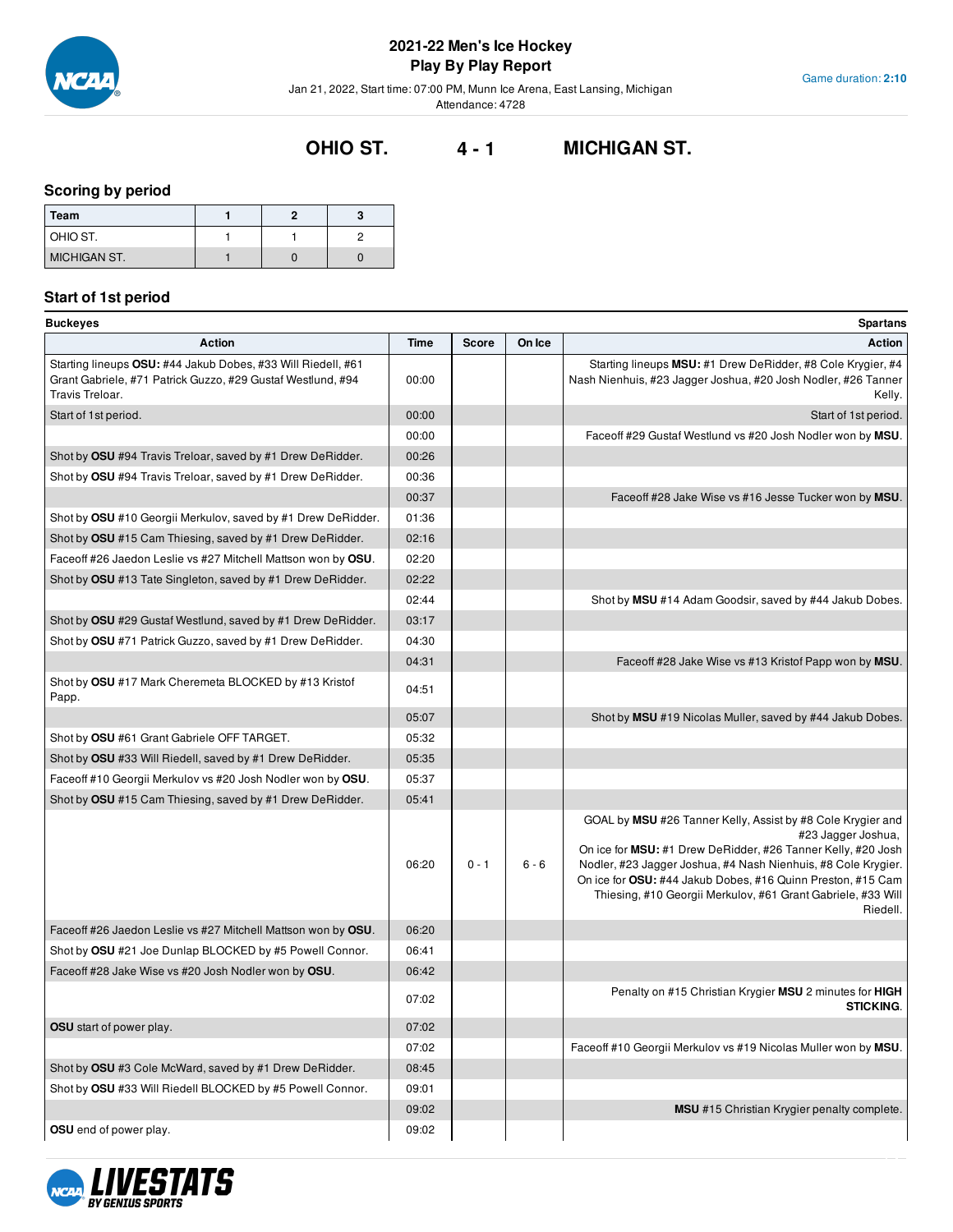

Game duration: **2:10**

Jan 21, 2022, Start time: 07:00 PM, Munn Ice Arena, East Lansing, Michigan

Attendance: 4728

# **OHIO ST. 4 - 1 MICHIGAN ST.**

## **Scoring by period**

| Team                |  |  |
|---------------------|--|--|
| OHIO ST.            |  |  |
| <b>MICHIGAN ST.</b> |  |  |

## **Start of 1st period**

| <b>Buckeyes</b>                                                                                                                                |       |              |         | Spartans                                                                                                                                                                                                                                                                                                                                                      |
|------------------------------------------------------------------------------------------------------------------------------------------------|-------|--------------|---------|---------------------------------------------------------------------------------------------------------------------------------------------------------------------------------------------------------------------------------------------------------------------------------------------------------------------------------------------------------------|
| <b>Action</b>                                                                                                                                  | Time  | <b>Score</b> | On Ice  | <b>Action</b>                                                                                                                                                                                                                                                                                                                                                 |
| Starting lineups OSU: #44 Jakub Dobes, #33 Will Riedell, #61<br>Grant Gabriele, #71 Patrick Guzzo, #29 Gustaf Westlund, #94<br>Travis Treloar. | 00:00 |              |         | Starting lineups MSU: #1 Drew DeRidder, #8 Cole Krygier, #4<br>Nash Nienhuis, #23 Jagger Joshua, #20 Josh Nodler, #26 Tanner<br>Kelly.                                                                                                                                                                                                                        |
| Start of 1st period.                                                                                                                           | 00:00 |              |         | Start of 1st period.                                                                                                                                                                                                                                                                                                                                          |
|                                                                                                                                                | 00:00 |              |         | Faceoff #29 Gustaf Westlund vs #20 Josh Nodler won by MSU.                                                                                                                                                                                                                                                                                                    |
| Shot by OSU #94 Travis Treloar, saved by #1 Drew DeRidder.                                                                                     | 00:26 |              |         |                                                                                                                                                                                                                                                                                                                                                               |
| Shot by OSU #94 Travis Treloar, saved by #1 Drew DeRidder.                                                                                     | 00:36 |              |         |                                                                                                                                                                                                                                                                                                                                                               |
|                                                                                                                                                | 00:37 |              |         | Faceoff #28 Jake Wise vs #16 Jesse Tucker won by MSU.                                                                                                                                                                                                                                                                                                         |
| Shot by OSU #10 Georgii Merkulov, saved by #1 Drew DeRidder.                                                                                   | 01:36 |              |         |                                                                                                                                                                                                                                                                                                                                                               |
| Shot by OSU #15 Cam Thiesing, saved by #1 Drew DeRidder.                                                                                       | 02:16 |              |         |                                                                                                                                                                                                                                                                                                                                                               |
| Faceoff #26 Jaedon Leslie vs #27 Mitchell Mattson won by OSU.                                                                                  | 02:20 |              |         |                                                                                                                                                                                                                                                                                                                                                               |
| Shot by OSU #13 Tate Singleton, saved by #1 Drew DeRidder.                                                                                     | 02:22 |              |         |                                                                                                                                                                                                                                                                                                                                                               |
|                                                                                                                                                | 02:44 |              |         | Shot by MSU #14 Adam Goodsir, saved by #44 Jakub Dobes.                                                                                                                                                                                                                                                                                                       |
| Shot by OSU #29 Gustaf Westlund, saved by #1 Drew DeRidder.                                                                                    | 03:17 |              |         |                                                                                                                                                                                                                                                                                                                                                               |
| Shot by OSU #71 Patrick Guzzo, saved by #1 Drew DeRidder.                                                                                      | 04:30 |              |         |                                                                                                                                                                                                                                                                                                                                                               |
|                                                                                                                                                | 04:31 |              |         | Faceoff #28 Jake Wise vs #13 Kristof Papp won by MSU.                                                                                                                                                                                                                                                                                                         |
| Shot by OSU #17 Mark Cheremeta BLOCKED by #13 Kristof<br>Papp.                                                                                 | 04:51 |              |         |                                                                                                                                                                                                                                                                                                                                                               |
|                                                                                                                                                | 05:07 |              |         | Shot by MSU #19 Nicolas Muller, saved by #44 Jakub Dobes.                                                                                                                                                                                                                                                                                                     |
| Shot by OSU #61 Grant Gabriele OFF TARGET.                                                                                                     | 05:32 |              |         |                                                                                                                                                                                                                                                                                                                                                               |
| Shot by OSU #33 Will Riedell, saved by #1 Drew DeRidder.                                                                                       | 05:35 |              |         |                                                                                                                                                                                                                                                                                                                                                               |
| Faceoff #10 Georgii Merkulov vs #20 Josh Nodler won by OSU.                                                                                    | 05:37 |              |         |                                                                                                                                                                                                                                                                                                                                                               |
| Shot by OSU #15 Cam Thiesing, saved by #1 Drew DeRidder.                                                                                       | 05:41 |              |         |                                                                                                                                                                                                                                                                                                                                                               |
|                                                                                                                                                | 06:20 | $0 - 1$      | $6 - 6$ | GOAL by MSU #26 Tanner Kelly, Assist by #8 Cole Krygier and<br>#23 Jagger Joshua,<br>On ice for MSU: #1 Drew DeRidder, #26 Tanner Kelly, #20 Josh<br>Nodler, #23 Jagger Joshua, #4 Nash Nienhuis, #8 Cole Krygier.<br>On ice for OSU: #44 Jakub Dobes, #16 Quinn Preston, #15 Cam<br>Thiesing, #10 Georgii Merkulov, #61 Grant Gabriele, #33 Will<br>Riedell. |
| Faceoff #26 Jaedon Leslie vs #27 Mitchell Mattson won by OSU.                                                                                  | 06:20 |              |         |                                                                                                                                                                                                                                                                                                                                                               |
| Shot by OSU #21 Joe Dunlap BLOCKED by #5 Powell Connor.                                                                                        | 06:41 |              |         |                                                                                                                                                                                                                                                                                                                                                               |
| Faceoff #28 Jake Wise vs #20 Josh Nodler won by OSU.                                                                                           | 06:42 |              |         |                                                                                                                                                                                                                                                                                                                                                               |
|                                                                                                                                                | 07:02 |              |         | Penalty on #15 Christian Krygier MSU 2 minutes for HIGH<br><b>STICKING.</b>                                                                                                                                                                                                                                                                                   |
| <b>OSU</b> start of power play.                                                                                                                | 07:02 |              |         |                                                                                                                                                                                                                                                                                                                                                               |
|                                                                                                                                                | 07:02 |              |         | Faceoff #10 Georgii Merkulov vs #19 Nicolas Muller won by MSU.                                                                                                                                                                                                                                                                                                |
| Shot by OSU #3 Cole McWard, saved by #1 Drew DeRidder.                                                                                         | 08:45 |              |         |                                                                                                                                                                                                                                                                                                                                                               |
| Shot by OSU #33 Will Riedell BLOCKED by #5 Powell Connor.                                                                                      | 09:01 |              |         |                                                                                                                                                                                                                                                                                                                                                               |
|                                                                                                                                                | 09:02 |              |         | MSU #15 Christian Krygier penalty complete.                                                                                                                                                                                                                                                                                                                   |
| <b>OSU</b> end of power play.                                                                                                                  | 09:02 |              |         |                                                                                                                                                                                                                                                                                                                                                               |

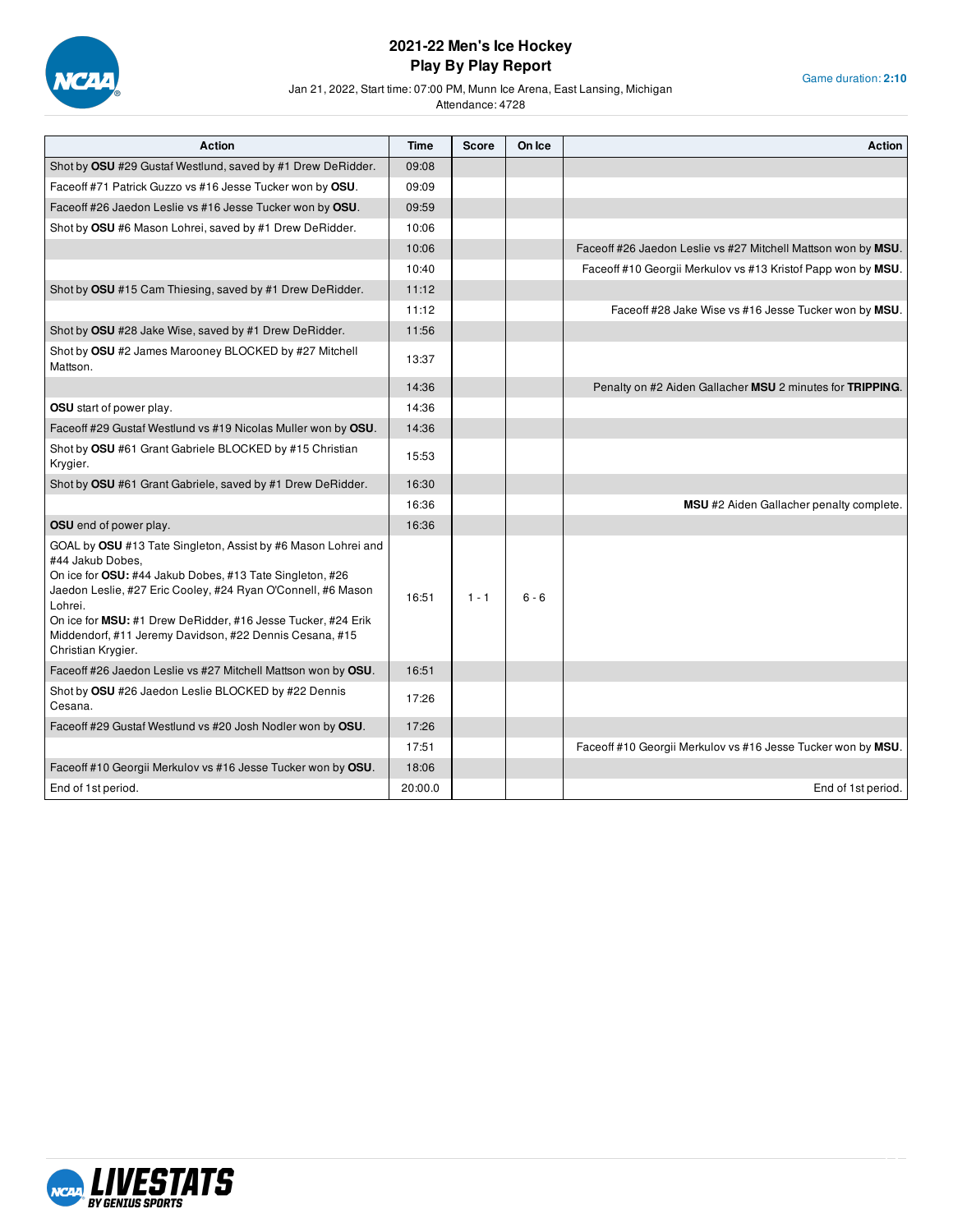

Jan 21, 2022, Start time: 07:00 PM, Munn Ice Arena, East Lansing, Michigan

| Game duration: 2:10 |  |
|---------------------|--|
|                     |  |

| <b>Action</b>                                                                                                                                                                                                                                                                                                                                                             | Time    | <b>Score</b> | On Ice  | <b>Action</b>                                                 |
|---------------------------------------------------------------------------------------------------------------------------------------------------------------------------------------------------------------------------------------------------------------------------------------------------------------------------------------------------------------------------|---------|--------------|---------|---------------------------------------------------------------|
| Shot by OSU #29 Gustaf Westlund, saved by #1 Drew DeRidder.                                                                                                                                                                                                                                                                                                               | 09:08   |              |         |                                                               |
| Faceoff #71 Patrick Guzzo vs #16 Jesse Tucker won by OSU.                                                                                                                                                                                                                                                                                                                 | 09:09   |              |         |                                                               |
| Faceoff #26 Jaedon Leslie vs #16 Jesse Tucker won by OSU.                                                                                                                                                                                                                                                                                                                 | 09:59   |              |         |                                                               |
| Shot by OSU #6 Mason Lohrei, saved by #1 Drew DeRidder.                                                                                                                                                                                                                                                                                                                   | 10:06   |              |         |                                                               |
|                                                                                                                                                                                                                                                                                                                                                                           | 10:06   |              |         | Faceoff #26 Jaedon Leslie vs #27 Mitchell Mattson won by MSU. |
|                                                                                                                                                                                                                                                                                                                                                                           | 10:40   |              |         | Faceoff #10 Georgii Merkulov vs #13 Kristof Papp won by MSU.  |
| Shot by OSU #15 Cam Thiesing, saved by #1 Drew DeRidder.                                                                                                                                                                                                                                                                                                                  | 11:12   |              |         |                                                               |
|                                                                                                                                                                                                                                                                                                                                                                           | 11:12   |              |         | Faceoff #28 Jake Wise vs #16 Jesse Tucker won by MSU.         |
| Shot by OSU #28 Jake Wise, saved by #1 Drew DeRidder.                                                                                                                                                                                                                                                                                                                     | 11:56   |              |         |                                                               |
| Shot by OSU #2 James Marooney BLOCKED by #27 Mitchell<br>Mattson.                                                                                                                                                                                                                                                                                                         | 13:37   |              |         |                                                               |
|                                                                                                                                                                                                                                                                                                                                                                           | 14:36   |              |         | Penalty on #2 Aiden Gallacher MSU 2 minutes for TRIPPING.     |
| <b>OSU</b> start of power play.                                                                                                                                                                                                                                                                                                                                           | 14:36   |              |         |                                                               |
| Faceoff #29 Gustaf Westlund vs #19 Nicolas Muller won by OSU.                                                                                                                                                                                                                                                                                                             | 14:36   |              |         |                                                               |
| Shot by OSU #61 Grant Gabriele BLOCKED by #15 Christian<br>Krygier.                                                                                                                                                                                                                                                                                                       | 15:53   |              |         |                                                               |
| Shot by OSU #61 Grant Gabriele, saved by #1 Drew DeRidder.                                                                                                                                                                                                                                                                                                                | 16:30   |              |         |                                                               |
|                                                                                                                                                                                                                                                                                                                                                                           | 16:36   |              |         | MSU #2 Aiden Gallacher penalty complete.                      |
| <b>OSU</b> end of power play.                                                                                                                                                                                                                                                                                                                                             | 16:36   |              |         |                                                               |
| GOAL by OSU #13 Tate Singleton, Assist by #6 Mason Lohrei and<br>#44 Jakub Dobes,<br>On ice for OSU: #44 Jakub Dobes, #13 Tate Singleton, #26<br>Jaedon Leslie, #27 Eric Cooley, #24 Ryan O'Connell, #6 Mason<br>Lohrei.<br>On ice for MSU: #1 Drew DeRidder, #16 Jesse Tucker, #24 Erik<br>Middendorf, #11 Jeremy Davidson, #22 Dennis Cesana, #15<br>Christian Krygier. | 16:51   | $1 - 1$      | $6 - 6$ |                                                               |
| Faceoff #26 Jaedon Leslie vs #27 Mitchell Mattson won by OSU.                                                                                                                                                                                                                                                                                                             | 16:51   |              |         |                                                               |
| Shot by OSU #26 Jaedon Leslie BLOCKED by #22 Dennis<br>Cesana.                                                                                                                                                                                                                                                                                                            | 17:26   |              |         |                                                               |
| Faceoff #29 Gustaf Westlund vs #20 Josh Nodler won by OSU.                                                                                                                                                                                                                                                                                                                | 17:26   |              |         |                                                               |
|                                                                                                                                                                                                                                                                                                                                                                           | 17:51   |              |         | Faceoff #10 Georgii Merkulov vs #16 Jesse Tucker won by MSU.  |
| Faceoff #10 Georgii Merkulov vs #16 Jesse Tucker won by OSU.                                                                                                                                                                                                                                                                                                              | 18:06   |              |         |                                                               |
| End of 1st period.                                                                                                                                                                                                                                                                                                                                                        | 20:00.0 |              |         | End of 1st period.                                            |

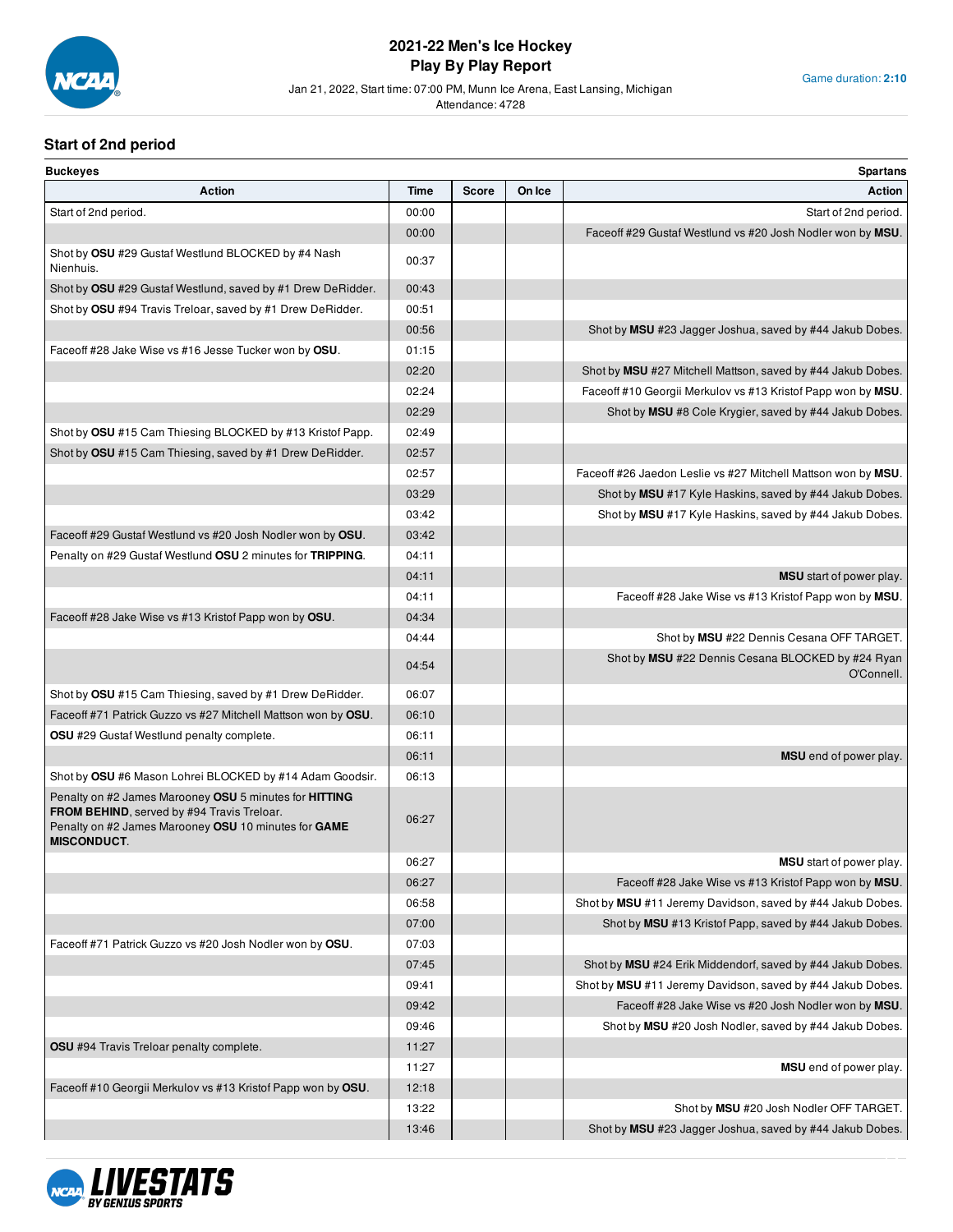

#### Jan 21, 2022, Start time: 07:00 PM, Munn Ice Arena, East Lansing, Michigan

Attendance: 4728

## **Start of 2nd period**

| <b>Buckeyes</b>                                                                                                                                                                    |       |              |        | <b>Spartans</b>                                                 |
|------------------------------------------------------------------------------------------------------------------------------------------------------------------------------------|-------|--------------|--------|-----------------------------------------------------------------|
| <b>Action</b>                                                                                                                                                                      | Time  | <b>Score</b> | On Ice | Action                                                          |
| Start of 2nd period.                                                                                                                                                               | 00:00 |              |        | Start of 2nd period.                                            |
|                                                                                                                                                                                    | 00:00 |              |        | Faceoff #29 Gustaf Westlund vs #20 Josh Nodler won by MSU.      |
| Shot by OSU #29 Gustaf Westlund BLOCKED by #4 Nash<br>Nienhuis.                                                                                                                    | 00:37 |              |        |                                                                 |
| Shot by OSU #29 Gustaf Westlund, saved by #1 Drew DeRidder.                                                                                                                        | 00:43 |              |        |                                                                 |
| Shot by OSU #94 Travis Treloar, saved by #1 Drew DeRidder.                                                                                                                         | 00:51 |              |        |                                                                 |
|                                                                                                                                                                                    | 00:56 |              |        | Shot by MSU #23 Jagger Joshua, saved by #44 Jakub Dobes.        |
| Faceoff #28 Jake Wise vs #16 Jesse Tucker won by OSU.                                                                                                                              | 01:15 |              |        |                                                                 |
|                                                                                                                                                                                    | 02:20 |              |        | Shot by MSU #27 Mitchell Mattson, saved by #44 Jakub Dobes.     |
|                                                                                                                                                                                    | 02:24 |              |        | Faceoff #10 Georgii Merkulov vs #13 Kristof Papp won by MSU.    |
|                                                                                                                                                                                    | 02:29 |              |        | Shot by MSU #8 Cole Krygier, saved by #44 Jakub Dobes.          |
| Shot by OSU #15 Cam Thiesing BLOCKED by #13 Kristof Papp.                                                                                                                          | 02:49 |              |        |                                                                 |
| Shot by OSU #15 Cam Thiesing, saved by #1 Drew DeRidder.                                                                                                                           | 02:57 |              |        |                                                                 |
|                                                                                                                                                                                    | 02:57 |              |        | Faceoff #26 Jaedon Leslie vs #27 Mitchell Mattson won by MSU.   |
|                                                                                                                                                                                    | 03:29 |              |        | Shot by MSU #17 Kyle Haskins, saved by #44 Jakub Dobes.         |
|                                                                                                                                                                                    | 03:42 |              |        | Shot by MSU #17 Kyle Haskins, saved by #44 Jakub Dobes.         |
| Faceoff #29 Gustaf Westlund vs #20 Josh Nodler won by OSU.                                                                                                                         | 03:42 |              |        |                                                                 |
| Penalty on #29 Gustaf Westlund OSU 2 minutes for TRIPPING.                                                                                                                         | 04:11 |              |        |                                                                 |
|                                                                                                                                                                                    | 04:11 |              |        | MSU start of power play.                                        |
|                                                                                                                                                                                    | 04:11 |              |        | Faceoff #28 Jake Wise vs #13 Kristof Papp won by MSU.           |
| Faceoff #28 Jake Wise vs #13 Kristof Papp won by OSU.                                                                                                                              | 04:34 |              |        |                                                                 |
|                                                                                                                                                                                    | 04:44 |              |        | Shot by MSU #22 Dennis Cesana OFF TARGET.                       |
|                                                                                                                                                                                    | 04:54 |              |        | Shot by MSU #22 Dennis Cesana BLOCKED by #24 Ryan<br>O'Connell. |
| Shot by OSU #15 Cam Thiesing, saved by #1 Drew DeRidder.                                                                                                                           | 06:07 |              |        |                                                                 |
| Faceoff #71 Patrick Guzzo vs #27 Mitchell Mattson won by OSU.                                                                                                                      | 06:10 |              |        |                                                                 |
| <b>OSU</b> #29 Gustaf Westlund penalty complete.                                                                                                                                   | 06:11 |              |        |                                                                 |
|                                                                                                                                                                                    | 06:11 |              |        | MSU end of power play.                                          |
| Shot by OSU #6 Mason Lohrei BLOCKED by #14 Adam Goodsir.                                                                                                                           | 06:13 |              |        |                                                                 |
| Penalty on #2 James Marooney OSU 5 minutes for HITTING<br>FROM BEHIND, served by #94 Travis Treloar.<br>Penalty on #2 James Marooney OSU 10 minutes for GAME<br><b>MISCONDUCT.</b> | 06:27 |              |        |                                                                 |
|                                                                                                                                                                                    | 06:27 |              |        | MSU start of power play                                         |
|                                                                                                                                                                                    | 06:27 |              |        | Faceoff #28 Jake Wise vs #13 Kristof Papp won by MSU            |
|                                                                                                                                                                                    | 06:58 |              |        | Shot by MSU #11 Jeremy Davidson, saved by #44 Jakub Dobes.      |
|                                                                                                                                                                                    | 07:00 |              |        | Shot by MSU #13 Kristof Papp, saved by #44 Jakub Dobes.         |
| Faceoff #71 Patrick Guzzo vs #20 Josh Nodler won by OSU.                                                                                                                           | 07:03 |              |        |                                                                 |
|                                                                                                                                                                                    | 07:45 |              |        | Shot by MSU #24 Erik Middendorf, saved by #44 Jakub Dobes.      |
|                                                                                                                                                                                    | 09:41 |              |        | Shot by MSU #11 Jeremy Davidson, saved by #44 Jakub Dobes.      |
|                                                                                                                                                                                    | 09:42 |              |        | Faceoff #28 Jake Wise vs #20 Josh Nodler won by MSU.            |
|                                                                                                                                                                                    | 09:46 |              |        | Shot by MSU #20 Josh Nodler, saved by #44 Jakub Dobes.          |
| <b>OSU</b> #94 Travis Treloar penalty complete.                                                                                                                                    | 11:27 |              |        |                                                                 |
|                                                                                                                                                                                    | 11:27 |              |        | MSU end of power play.                                          |
| Faceoff #10 Georgii Merkulov vs #13 Kristof Papp won by OSU.                                                                                                                       | 12:18 |              |        |                                                                 |
|                                                                                                                                                                                    | 13:22 |              |        | Shot by MSU #20 Josh Nodler OFF TARGET.                         |
|                                                                                                                                                                                    | 13:46 |              |        | Shot by MSU #23 Jagger Joshua, saved by #44 Jakub Dobes.        |

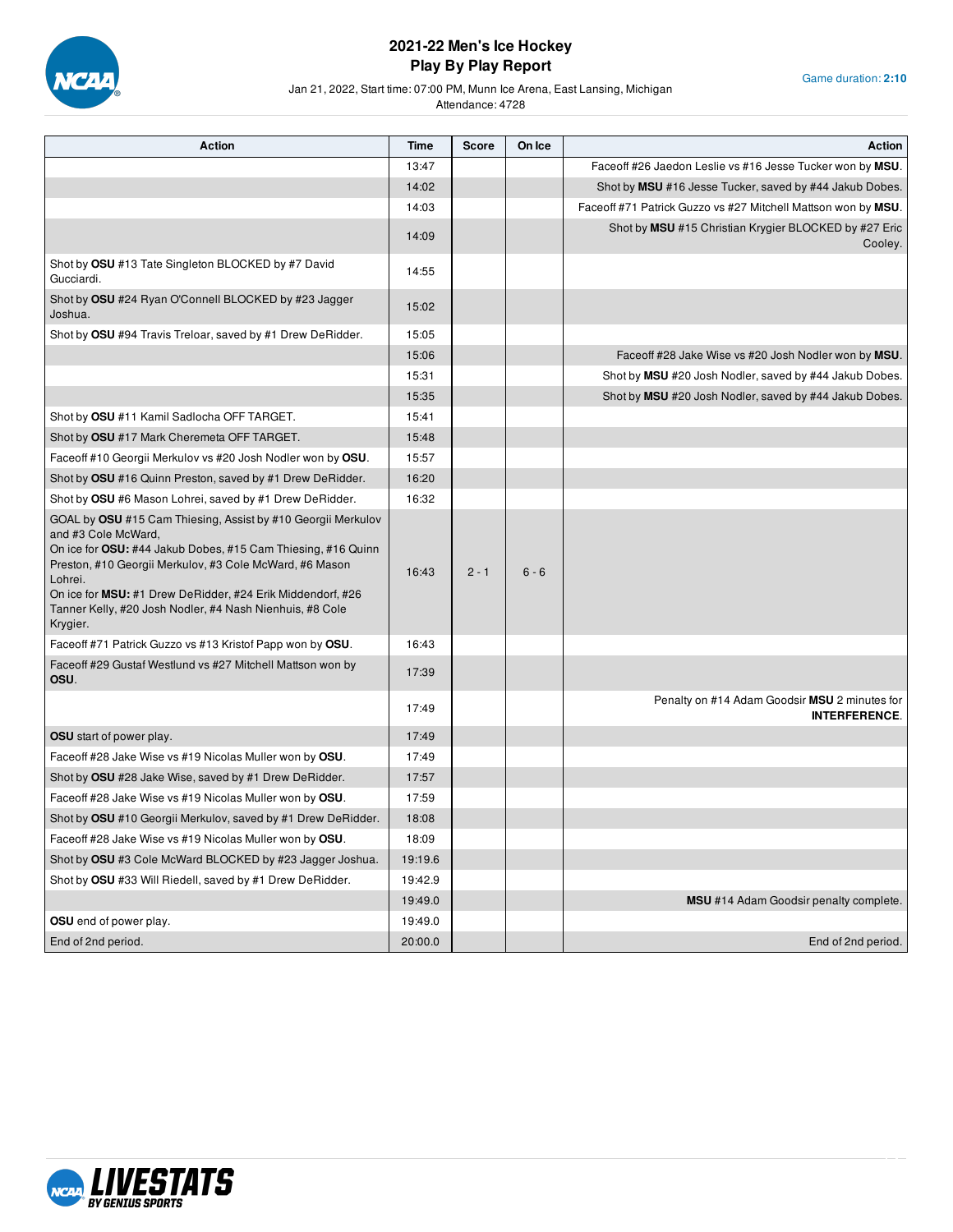

Game duration: **2:10**

Jan 21, 2022, Start time: 07:00 PM, Munn Ice Arena, East Lansing, Michigan

| <b>Action</b>                                                                                                                                                                                                                                                                                                                                                          | Time    | <b>Score</b> | On Ice  | <b>Action</b>                                                         |
|------------------------------------------------------------------------------------------------------------------------------------------------------------------------------------------------------------------------------------------------------------------------------------------------------------------------------------------------------------------------|---------|--------------|---------|-----------------------------------------------------------------------|
|                                                                                                                                                                                                                                                                                                                                                                        | 13:47   |              |         | Face off #26 Jaedon Leslie vs #16 Jesse Tucker won by MSU.            |
|                                                                                                                                                                                                                                                                                                                                                                        | 14:02   |              |         | Shot by MSU #16 Jesse Tucker, saved by #44 Jakub Dobes.               |
|                                                                                                                                                                                                                                                                                                                                                                        | 14:03   |              |         | Faceoff #71 Patrick Guzzo vs #27 Mitchell Mattson won by MSU.         |
|                                                                                                                                                                                                                                                                                                                                                                        | 14:09   |              |         | Shot by MSU #15 Christian Krygier BLOCKED by #27 Eric<br>Cooley.      |
| Shot by OSU #13 Tate Singleton BLOCKED by #7 David<br>Gucciardi.                                                                                                                                                                                                                                                                                                       | 14:55   |              |         |                                                                       |
| Shot by OSU #24 Ryan O'Connell BLOCKED by #23 Jagger<br>Joshua.                                                                                                                                                                                                                                                                                                        | 15:02   |              |         |                                                                       |
| Shot by OSU #94 Travis Treloar, saved by #1 Drew DeRidder.                                                                                                                                                                                                                                                                                                             | 15:05   |              |         |                                                                       |
|                                                                                                                                                                                                                                                                                                                                                                        | 15:06   |              |         | Faceoff #28 Jake Wise vs #20 Josh Nodler won by MSU.                  |
|                                                                                                                                                                                                                                                                                                                                                                        | 15:31   |              |         | Shot by MSU #20 Josh Nodler, saved by #44 Jakub Dobes.                |
|                                                                                                                                                                                                                                                                                                                                                                        | 15:35   |              |         | Shot by MSU #20 Josh Nodler, saved by #44 Jakub Dobes.                |
| Shot by OSU #11 Kamil Sadlocha OFF TARGET.                                                                                                                                                                                                                                                                                                                             | 15:41   |              |         |                                                                       |
| Shot by OSU #17 Mark Cheremeta OFF TARGET.                                                                                                                                                                                                                                                                                                                             | 15:48   |              |         |                                                                       |
| Faceoff #10 Georgii Merkulov vs #20 Josh Nodler won by OSU.                                                                                                                                                                                                                                                                                                            | 15:57   |              |         |                                                                       |
| Shot by OSU #16 Quinn Preston, saved by #1 Drew DeRidder.                                                                                                                                                                                                                                                                                                              | 16:20   |              |         |                                                                       |
| Shot by OSU #6 Mason Lohrei, saved by #1 Drew DeRidder.                                                                                                                                                                                                                                                                                                                | 16:32   |              |         |                                                                       |
| GOAL by OSU #15 Cam Thiesing, Assist by #10 Georgii Merkulov<br>and #3 Cole McWard,<br>On ice for <b>OSU:</b> #44 Jakub Dobes, #15 Cam Thiesing, #16 Quinn<br>Preston, #10 Georgii Merkulov, #3 Cole McWard, #6 Mason<br>Lohrei.<br>On ice for MSU: #1 Drew DeRidder, #24 Erik Middendorf, #26<br>Tanner Kelly, #20 Josh Nodler, #4 Nash Nienhuis, #8 Cole<br>Krygier. | 16:43   | $2 - 1$      | $6 - 6$ |                                                                       |
| Faceoff #71 Patrick Guzzo vs #13 Kristof Papp won by OSU.                                                                                                                                                                                                                                                                                                              | 16:43   |              |         |                                                                       |
| Faceoff #29 Gustaf Westlund vs #27 Mitchell Mattson won by<br>OSU.                                                                                                                                                                                                                                                                                                     | 17:39   |              |         |                                                                       |
|                                                                                                                                                                                                                                                                                                                                                                        | 17:49   |              |         | Penalty on #14 Adam Goodsir MSU 2 minutes for<br><b>INTERFERENCE.</b> |
| <b>OSU</b> start of power play.                                                                                                                                                                                                                                                                                                                                        | 17:49   |              |         |                                                                       |
| Faceoff #28 Jake Wise vs #19 Nicolas Muller won by OSU.                                                                                                                                                                                                                                                                                                                | 17:49   |              |         |                                                                       |
| Shot by OSU #28 Jake Wise, saved by #1 Drew DeRidder.                                                                                                                                                                                                                                                                                                                  | 17:57   |              |         |                                                                       |
| Faceoff #28 Jake Wise vs #19 Nicolas Muller won by OSU.                                                                                                                                                                                                                                                                                                                | 17:59   |              |         |                                                                       |
| Shot by OSU #10 Georgii Merkulov, saved by #1 Drew DeRidder.                                                                                                                                                                                                                                                                                                           | 18:08   |              |         |                                                                       |
| Faceoff #28 Jake Wise vs #19 Nicolas Muller won by OSU.                                                                                                                                                                                                                                                                                                                | 18:09   |              |         |                                                                       |
| Shot by OSU #3 Cole McWard BLOCKED by #23 Jagger Joshua.                                                                                                                                                                                                                                                                                                               | 19:19.6 |              |         |                                                                       |
| Shot by OSU #33 Will Riedell, saved by #1 Drew DeRidder.                                                                                                                                                                                                                                                                                                               | 19:42.9 |              |         |                                                                       |
|                                                                                                                                                                                                                                                                                                                                                                        | 19:49.0 |              |         | <b>MSU</b> #14 Adam Goodsir penalty complete.                         |
| OSU end of power play.                                                                                                                                                                                                                                                                                                                                                 | 19:49.0 |              |         |                                                                       |
| End of 2nd period.                                                                                                                                                                                                                                                                                                                                                     | 20:00.0 |              |         | End of 2nd period.                                                    |

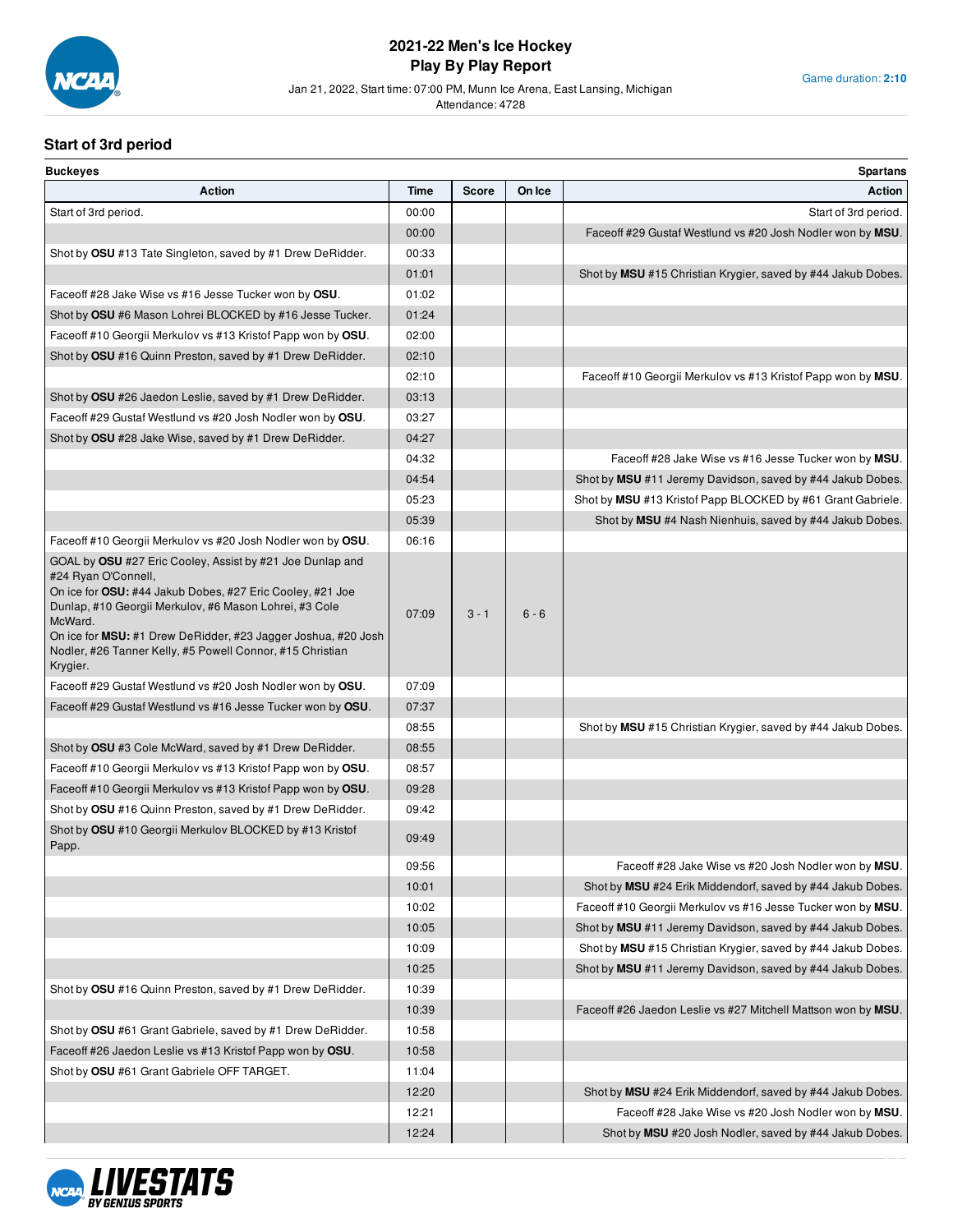

Jan 21, 2022, Start time: 07:00 PM, Munn Ice Arena, East Lansing, Michigan

Attendance: 4728

## **Start of 3rd period**

| <b>Buckeyes</b>                                                                                                                                                                                                                                                                                                                                              |       |              |         | <b>Spartans</b>                                               |
|--------------------------------------------------------------------------------------------------------------------------------------------------------------------------------------------------------------------------------------------------------------------------------------------------------------------------------------------------------------|-------|--------------|---------|---------------------------------------------------------------|
| <b>Action</b>                                                                                                                                                                                                                                                                                                                                                | Time  | <b>Score</b> | On Ice  | <b>Action</b>                                                 |
| Start of 3rd period.                                                                                                                                                                                                                                                                                                                                         | 00:00 |              |         | Start of 3rd period.                                          |
|                                                                                                                                                                                                                                                                                                                                                              | 00:00 |              |         | Faceoff #29 Gustaf Westlund vs #20 Josh Nodler won by MSU.    |
| Shot by OSU #13 Tate Singleton, saved by #1 Drew DeRidder.                                                                                                                                                                                                                                                                                                   | 00:33 |              |         |                                                               |
|                                                                                                                                                                                                                                                                                                                                                              | 01:01 |              |         | Shot by MSU #15 Christian Krygier, saved by #44 Jakub Dobes.  |
| Face off #28 Jake Wise vs #16 Jesse Tucker won by OSU.                                                                                                                                                                                                                                                                                                       | 01:02 |              |         |                                                               |
| Shot by OSU #6 Mason Lohrei BLOCKED by #16 Jesse Tucker.                                                                                                                                                                                                                                                                                                     | 01:24 |              |         |                                                               |
| Face off #10 Georgii Merkulov vs #13 Kristof Papp won by OSU.                                                                                                                                                                                                                                                                                                | 02:00 |              |         |                                                               |
| Shot by OSU #16 Quinn Preston, saved by #1 Drew DeRidder.                                                                                                                                                                                                                                                                                                    | 02:10 |              |         |                                                               |
|                                                                                                                                                                                                                                                                                                                                                              | 02:10 |              |         | Faceoff #10 Georgii Merkulov vs #13 Kristof Papp won by MSU.  |
| Shot by OSU #26 Jaedon Leslie, saved by #1 Drew DeRidder.                                                                                                                                                                                                                                                                                                    | 03:13 |              |         |                                                               |
| Faceoff #29 Gustaf Westlund vs #20 Josh Nodler won by OSU.                                                                                                                                                                                                                                                                                                   | 03:27 |              |         |                                                               |
| Shot by OSU #28 Jake Wise, saved by #1 Drew DeRidder.                                                                                                                                                                                                                                                                                                        | 04:27 |              |         |                                                               |
|                                                                                                                                                                                                                                                                                                                                                              | 04:32 |              |         | Faceoff #28 Jake Wise vs #16 Jesse Tucker won by MSU.         |
|                                                                                                                                                                                                                                                                                                                                                              | 04:54 |              |         | Shot by MSU #11 Jeremy Davidson, saved by #44 Jakub Dobes.    |
|                                                                                                                                                                                                                                                                                                                                                              | 05:23 |              |         | Shot by MSU #13 Kristof Papp BLOCKED by #61 Grant Gabriele.   |
|                                                                                                                                                                                                                                                                                                                                                              | 05:39 |              |         | Shot by MSU #4 Nash Nienhuis, saved by #44 Jakub Dobes.       |
| Faceoff #10 Georgii Merkulov vs #20 Josh Nodler won by OSU.                                                                                                                                                                                                                                                                                                  | 06:16 |              |         |                                                               |
| GOAL by OSU #27 Eric Cooley, Assist by #21 Joe Dunlap and<br>#24 Ryan O'Connell,<br>On ice for OSU: #44 Jakub Dobes, #27 Eric Cooley, #21 Joe<br>Dunlap, #10 Georgii Merkulov, #6 Mason Lohrei, #3 Cole<br>McWard.<br>On ice for MSU: #1 Drew DeRidder, #23 Jagger Joshua, #20 Josh<br>Nodler, #26 Tanner Kelly, #5 Powell Connor, #15 Christian<br>Krygier. | 07:09 | $3 - 1$      | $6 - 6$ |                                                               |
| Faceoff #29 Gustaf Westlund vs #20 Josh Nodler won by OSU.                                                                                                                                                                                                                                                                                                   | 07:09 |              |         |                                                               |
| Faceoff #29 Gustaf Westlund vs #16 Jesse Tucker won by OSU.                                                                                                                                                                                                                                                                                                  | 07:37 |              |         |                                                               |
|                                                                                                                                                                                                                                                                                                                                                              | 08:55 |              |         | Shot by MSU #15 Christian Krygier, saved by #44 Jakub Dobes.  |
| Shot by OSU #3 Cole McWard, saved by #1 Drew DeRidder.                                                                                                                                                                                                                                                                                                       | 08:55 |              |         |                                                               |
| Faceoff #10 Georgii Merkulov vs #13 Kristof Papp won by OSU.                                                                                                                                                                                                                                                                                                 | 08:57 |              |         |                                                               |
| Face off #10 Georgii Merkulov vs #13 Kristof Papp won by OSU.                                                                                                                                                                                                                                                                                                | 09:28 |              |         |                                                               |
| Shot by OSU #16 Quinn Preston, saved by #1 Drew DeRidder.                                                                                                                                                                                                                                                                                                    | 09:42 |              |         |                                                               |
| Shot by OSU #10 Georgii Merkulov BLOCKED by #13 Kristof<br>Papp.                                                                                                                                                                                                                                                                                             | 09:49 |              |         |                                                               |
|                                                                                                                                                                                                                                                                                                                                                              | 09:56 |              |         | Faceoff #28 Jake Wise vs #20 Josh Nodler won by MSU.          |
|                                                                                                                                                                                                                                                                                                                                                              | 10:01 |              |         | Shot by MSU #24 Erik Middendorf, saved by #44 Jakub Dobes.    |
|                                                                                                                                                                                                                                                                                                                                                              | 10:02 |              |         | Faceoff #10 Georgii Merkulov vs #16 Jesse Tucker won by MSU.  |
|                                                                                                                                                                                                                                                                                                                                                              | 10:05 |              |         | Shot by MSU #11 Jeremy Davidson, saved by #44 Jakub Dobes.    |
|                                                                                                                                                                                                                                                                                                                                                              | 10:09 |              |         | Shot by MSU #15 Christian Krygier, saved by #44 Jakub Dobes.  |
|                                                                                                                                                                                                                                                                                                                                                              | 10:25 |              |         | Shot by MSU #11 Jeremy Davidson, saved by #44 Jakub Dobes.    |
| Shot by OSU #16 Quinn Preston, saved by #1 Drew DeRidder.                                                                                                                                                                                                                                                                                                    | 10:39 |              |         |                                                               |
|                                                                                                                                                                                                                                                                                                                                                              | 10:39 |              |         | Faceoff #26 Jaedon Leslie vs #27 Mitchell Mattson won by MSU. |
| Shot by OSU #61 Grant Gabriele, saved by #1 Drew DeRidder.                                                                                                                                                                                                                                                                                                   | 10:58 |              |         |                                                               |
| Faceoff #26 Jaedon Leslie vs #13 Kristof Papp won by OSU.                                                                                                                                                                                                                                                                                                    | 10:58 |              |         |                                                               |
| Shot by OSU #61 Grant Gabriele OFF TARGET.                                                                                                                                                                                                                                                                                                                   | 11:04 |              |         |                                                               |
|                                                                                                                                                                                                                                                                                                                                                              | 12:20 |              |         | Shot by MSU #24 Erik Middendorf, saved by #44 Jakub Dobes.    |
|                                                                                                                                                                                                                                                                                                                                                              | 12:21 |              |         | Faceoff #28 Jake Wise vs #20 Josh Nodler won by MSU.          |
|                                                                                                                                                                                                                                                                                                                                                              | 12:24 |              |         | Shot by MSU #20 Josh Nodler, saved by #44 Jakub Dobes.        |

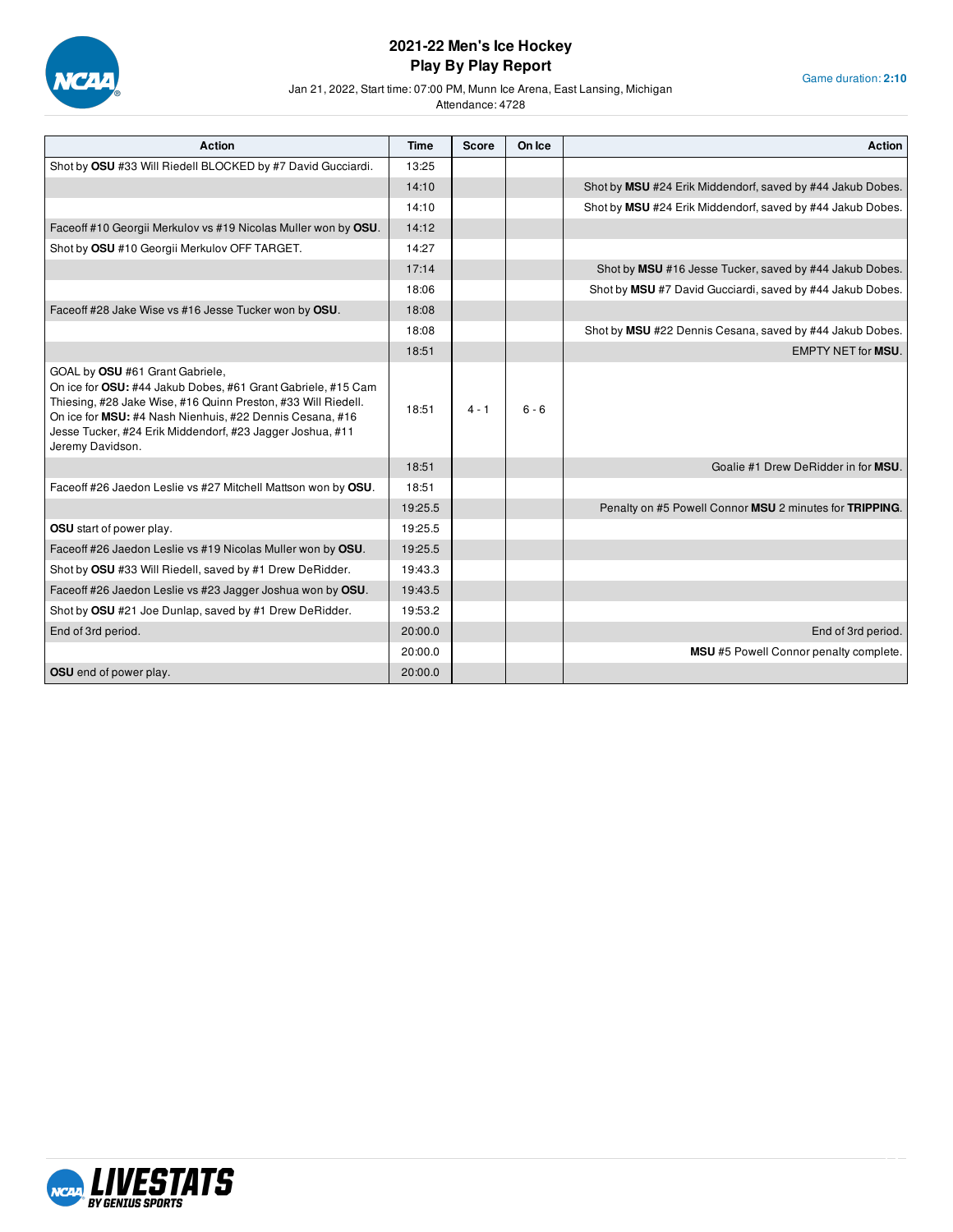

Game duration: **2:10**

Jan 21, 2022, Start time: 07:00 PM, Munn Ice Arena, East Lansing, Michigan

| Action                                                                                                                                                                                                                                                                                                        | Time    | <b>Score</b> | On Ice  | <b>Action</b>                                              |
|---------------------------------------------------------------------------------------------------------------------------------------------------------------------------------------------------------------------------------------------------------------------------------------------------------------|---------|--------------|---------|------------------------------------------------------------|
| Shot by OSU #33 Will Riedell BLOCKED by #7 David Gucciardi.                                                                                                                                                                                                                                                   | 13:25   |              |         |                                                            |
|                                                                                                                                                                                                                                                                                                               | 14:10   |              |         | Shot by MSU #24 Erik Middendorf, saved by #44 Jakub Dobes. |
|                                                                                                                                                                                                                                                                                                               | 14:10   |              |         | Shot by MSU #24 Erik Middendorf, saved by #44 Jakub Dobes. |
| Faceoff #10 Georgii Merkulov vs #19 Nicolas Muller won by OSU.                                                                                                                                                                                                                                                | 14:12   |              |         |                                                            |
| Shot by OSU #10 Georgii Merkulov OFF TARGET.                                                                                                                                                                                                                                                                  | 14:27   |              |         |                                                            |
|                                                                                                                                                                                                                                                                                                               | 17:14   |              |         | Shot by MSU #16 Jesse Tucker, saved by #44 Jakub Dobes.    |
|                                                                                                                                                                                                                                                                                                               | 18:06   |              |         | Shot by MSU #7 David Gucciardi, saved by #44 Jakub Dobes.  |
| Faceoff #28 Jake Wise vs #16 Jesse Tucker won by OSU.                                                                                                                                                                                                                                                         | 18:08   |              |         |                                                            |
|                                                                                                                                                                                                                                                                                                               | 18:08   |              |         | Shot by MSU #22 Dennis Cesana, saved by #44 Jakub Dobes.   |
|                                                                                                                                                                                                                                                                                                               | 18:51   |              |         | <b>EMPTY NET for MSU.</b>                                  |
| GOAL by OSU #61 Grant Gabriele,<br>On ice for OSU: #44 Jakub Dobes, #61 Grant Gabriele, #15 Cam<br>Thiesing, #28 Jake Wise, #16 Quinn Preston, #33 Will Riedell.<br>On ice for MSU: #4 Nash Nienhuis, #22 Dennis Cesana, #16<br>Jesse Tucker, #24 Erik Middendorf, #23 Jagger Joshua, #11<br>Jeremy Davidson. | 18:51   | $4 - 1$      | $6 - 6$ |                                                            |
|                                                                                                                                                                                                                                                                                                               | 18:51   |              |         | Goalie #1 Drew DeRidder in for MSU.                        |
| Faceoff #26 Jaedon Leslie vs #27 Mitchell Mattson won by OSU.                                                                                                                                                                                                                                                 | 18:51   |              |         |                                                            |
|                                                                                                                                                                                                                                                                                                               | 19:25.5 |              |         | Penalty on #5 Powell Connor MSU 2 minutes for TRIPPING.    |
| OSU start of power play.                                                                                                                                                                                                                                                                                      | 19:25.5 |              |         |                                                            |
| Faceoff #26 Jaedon Leslie vs #19 Nicolas Muller won by OSU.                                                                                                                                                                                                                                                   | 19:25.5 |              |         |                                                            |
| Shot by OSU #33 Will Riedell, saved by #1 Drew DeRidder.                                                                                                                                                                                                                                                      | 19:43.3 |              |         |                                                            |
| Faceoff #26 Jaedon Leslie vs #23 Jagger Joshua won by OSU.                                                                                                                                                                                                                                                    | 19:43.5 |              |         |                                                            |
| Shot by OSU #21 Joe Dunlap, saved by #1 Drew DeRidder.                                                                                                                                                                                                                                                        | 19:53.2 |              |         |                                                            |
| End of 3rd period.                                                                                                                                                                                                                                                                                            | 20:00.0 |              |         | End of 3rd period.                                         |
|                                                                                                                                                                                                                                                                                                               | 20:00.0 |              |         | MSU #5 Powell Connor penalty complete.                     |
| <b>OSU</b> end of power play.                                                                                                                                                                                                                                                                                 | 20:00.0 |              |         |                                                            |

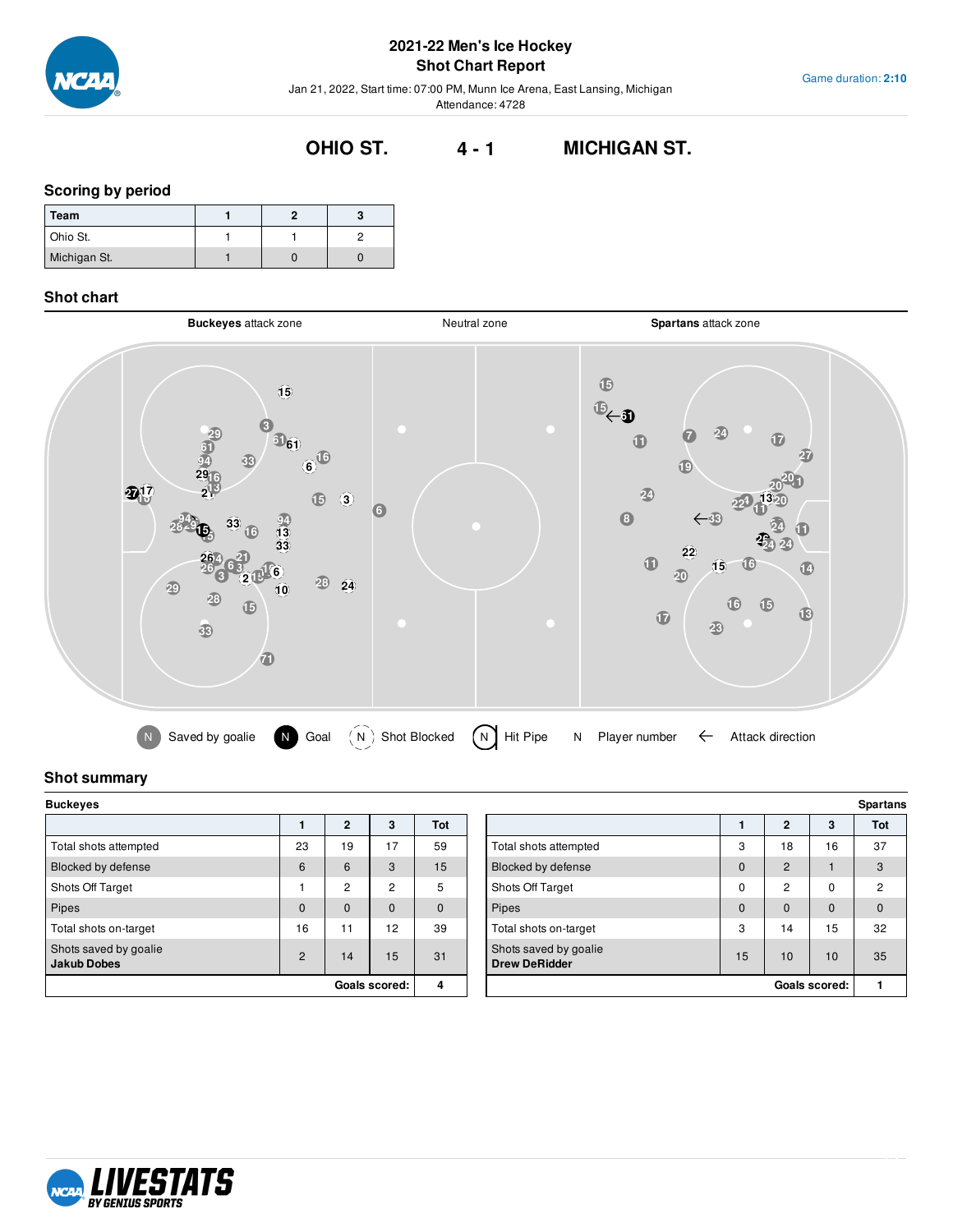

Game duration: **2:10**

Jan 21, 2022, Start time: 07:00 PM, Munn Ice Arena, East Lansing, Michigan Attendance: 4728

# **OHIO ST. 4 - 1 MICHIGAN ST.**

## **Scoring by period**

| Team         |  |  |
|--------------|--|--|
| Ohio St.     |  |  |
| Michigan St. |  |  |

#### **Shot chart**



## **Shot summary**

| <b>Buckeyes</b>                             |          |                |                |          |  |  |
|---------------------------------------------|----------|----------------|----------------|----------|--|--|
|                                             |          | $\mathbf{2}$   | 3              | Tot      |  |  |
| Total shots attempted                       | 23       | 19             | 17             | 59       |  |  |
| Blocked by defense                          | 6        | 6              | 3              | 15       |  |  |
| Shots Off Target                            | 1        | $\overline{2}$ | $\overline{2}$ | 5        |  |  |
| Pipes                                       | $\Omega$ | $\mathbf 0$    | $\mathbf 0$    | $\Omega$ |  |  |
| Total shots on-target                       | 16       | 11             | 12             | 39       |  |  |
| Shots saved by goalie<br><b>Jakub Dobes</b> | 2        | 14             | 15             | 31       |  |  |
|                                             |          |                | Goals scored:  | 4        |  |  |

| Buckeyes                                    |                |                |          |     |  |                                               |             | <b>Spartans</b>      |              |                |
|---------------------------------------------|----------------|----------------|----------|-----|--|-----------------------------------------------|-------------|----------------------|--------------|----------------|
|                                             |                | $\overline{2}$ | 3        | Tot |  |                                               |             | $\mathbf{2}$         | 3            | Tot            |
| Total shots attempted                       | 23             | 19             | 17       | 59  |  | Total shots attempted                         | 3           | 18                   | 16           | 37             |
| Blocked by defense                          | 6              | 6              | 3        | 15  |  | Blocked by defense                            | $\mathbf 0$ | $\overline{2}$       |              | 3              |
| Shots Off Target                            |                | 2              | 2        | 5   |  | Shots Off Target                              | $\mathbf 0$ | $\overline{c}$       | 0            | $\overline{c}$ |
| Pipes                                       | $\mathbf{0}$   | 0              | $\Omega$ | 0   |  | Pipes                                         | $\mathbf 0$ | $\mathbf{0}$         | $\mathbf{0}$ | $\mathbf{0}$   |
| Total shots on-target                       | 16             | 11             | 12       | 39  |  | Total shots on-target                         | 3           | 4                    | 15           | 32             |
| Shots saved by goalie<br><b>Jakub Dobes</b> | $\overline{2}$ | 14             | 15       | 31  |  | Shots saved by goalie<br><b>Drew DeRidder</b> | 15          | 10                   | 10           | 35             |
| Goals scored:                               |                |                | 4        |     |  |                                               |             | <b>Goals scored:</b> |              |                |

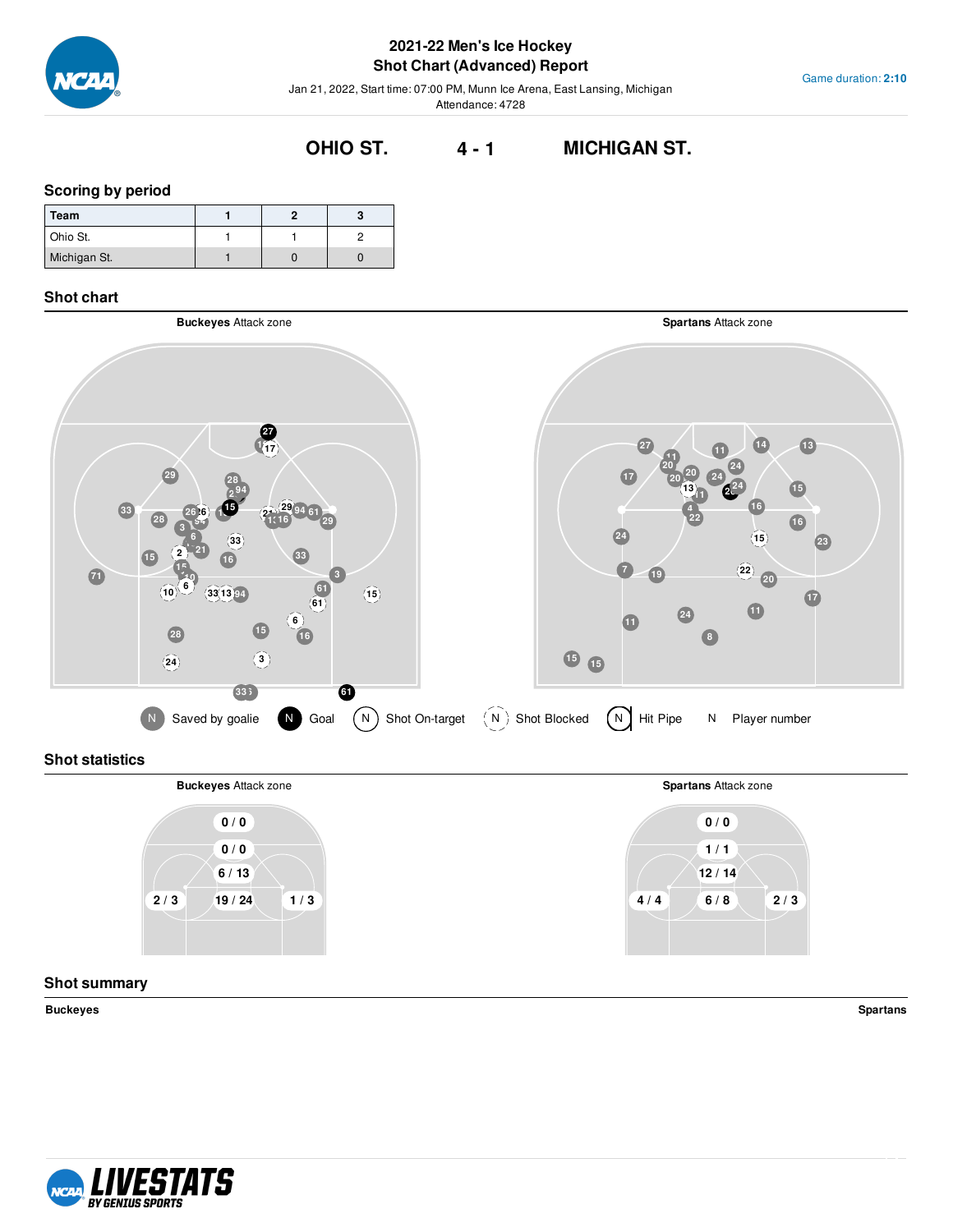

## **2021-22 Men's Ice Hockey Shot Chart (Advanced) Report**

Jan 21, 2022, Start time: 07:00 PM, Munn Ice Arena, East Lansing, Michigan Attendance: 4728

# **OHIO ST. 4 - 1 MICHIGAN ST.**

#### **Scoring by period**

| Team         |  |  |
|--------------|--|--|
| Ohio St.     |  |  |
| Michigan St. |  |  |

### **Shot chart**



## **Shot statistics**



### **Shot summary**

**Buckeyes Spartans**



Game duration: **2:10**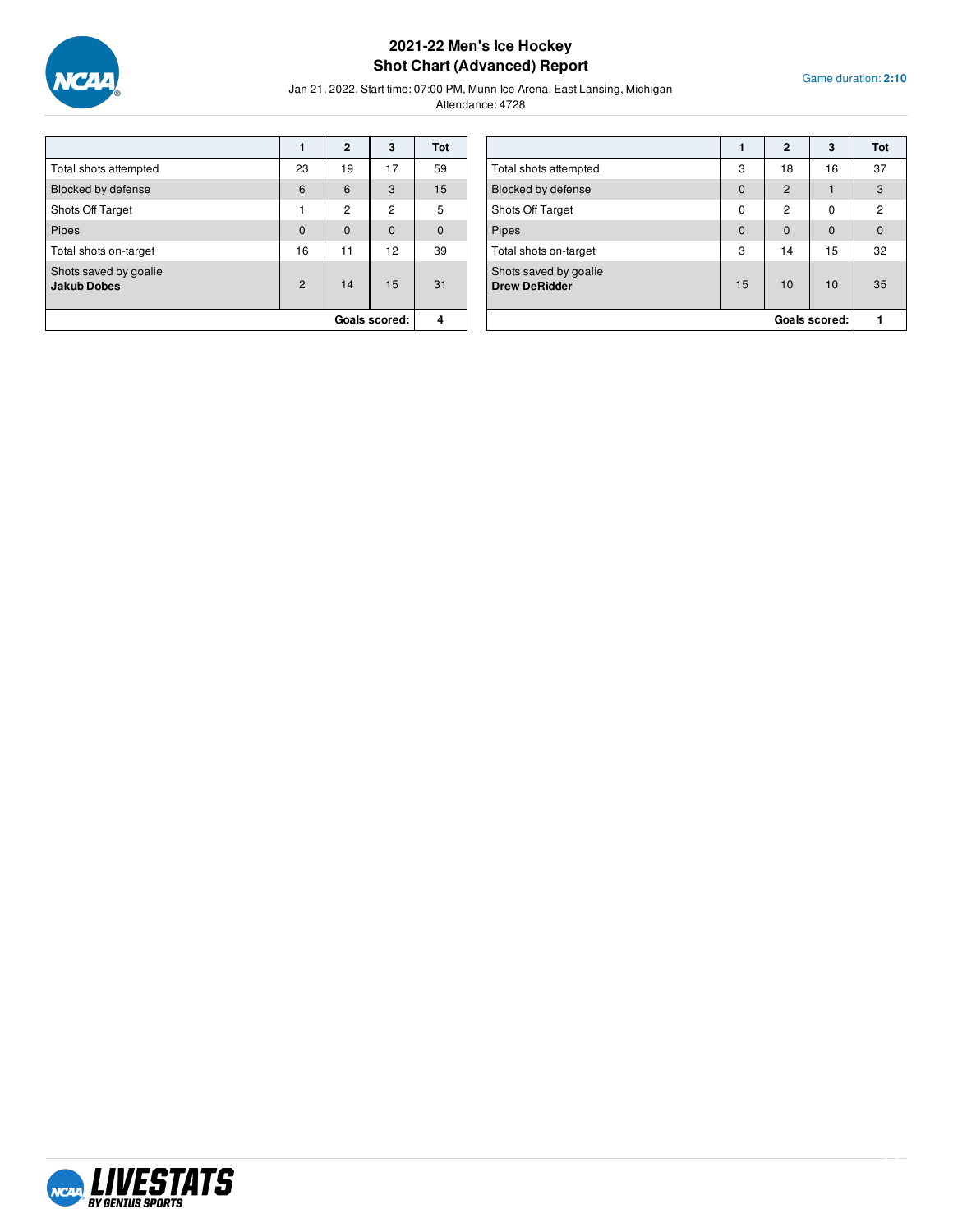

## **2021-22 Men's Ice Hockey Shot Chart (Advanced) Report**

Game duration: **2:10**

Jan 21, 2022, Start time: 07:00 PM, Munn Ice Arena, East Lansing, Michigan

|                                             |                | $\overline{2}$ | 3              | Tot      |
|---------------------------------------------|----------------|----------------|----------------|----------|
| Total shots attempted                       | 23             | 19             | 17             | 59       |
| Blocked by defense                          | 6              | 6              | 3              | 15       |
| Shots Off Target                            | 1              | $\overline{2}$ | $\overline{2}$ | 5        |
| Pipes                                       | $\mathbf{0}$   | $\mathbf 0$    | $\mathbf 0$    | $\Omega$ |
| Total shots on-target                       | 16             | 11             | 12             | 39       |
| Shots saved by goalie<br><b>Jakub Dobes</b> | $\overline{2}$ | 14             | 15             | 31       |
|                                             |                |                | Goals scored:  | Δ        |

|                                               |          | $\mathbf{2}$   | 3             | Tot            |
|-----------------------------------------------|----------|----------------|---------------|----------------|
| Total shots attempted                         | 3        | 18             | 16            | 37             |
| Blocked by defense                            | $\Omega$ | $\overline{2}$ |               | 3              |
| Shots Off Target                              | $\Omega$ | $\mathfrak{p}$ | 0             | $\overline{2}$ |
| Pipes                                         | $\Omega$ | $\Omega$       | $\Omega$      | $\mathbf 0$    |
| Total shots on-target                         | 3        | 14             | 15            | 32             |
| Shots saved by goalie<br><b>Drew DeRidder</b> | 15       | 10             | 10            | 35             |
|                                               |          |                | Goals scored: |                |